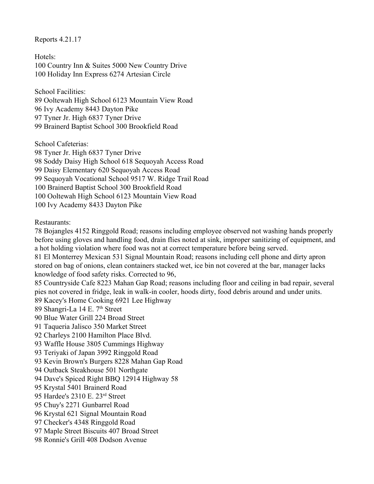Reports 4.21.17

Hotels: 100 Country Inn & Suites 5000 New Country Drive 100 Holiday Inn Express 6274 Artesian Circle

School Facilities:

89 Ooltewah High School 6123 Mountain View Road 96 Ivy Academy 8443 Dayton Pike 97 Tyner Jr. High 6837 Tyner Drive 99 Brainerd Baptist School 300 Brookfield Road

School Cafeterias:

98 Tyner Jr. High 6837 Tyner Drive 98 Soddy Daisy High School 618 Sequoyah Access Road 99 Daisy Elementary 620 Sequoyah Access Road 99 Sequoyah Vocational School 9517 W. Ridge Trail Road 100 Brainerd Baptist School 300 Brookfield Road 100 Ooltewah High School 6123 Mountain View Road 100 Ivy Academy 8433 Dayton Pike

Restaurants:

78 Bojangles 4152 Ringgold Road; reasons including employee observed not washing hands properly before using gloves and handling food, drain flies noted at sink, improper sanitizing of equipment, and a hot holding violation where food was not at correct temperature before being served. 81 El Monterrey Mexican 531 Signal Mountain Road; reasons including cell phone and dirty apron stored on bag of onions, clean containers stacked wet, ice bin not covered at the bar, manager lacks knowledge of food safety risks. Corrected to 96, 85 Countryside Cafe 8223 Mahan Gap Road; reasons including floor and ceiling in bad repair, several pies not covered in fridge, leak in walk-in cooler, hoods dirty, food debris around and under units. 89 Kacey's Home Cooking 6921 Lee Highway 89 Shangri-La 14 E. 7<sup>th</sup> Street 90 Blue Water Grill 224 Broad Street 91 Taqueria Jalisco 350 Market Street 92 Charleys 2100 Hamilton Place Blvd. 93 Waffle House 3805 Cummings Highway 93 Teriyaki of Japan 3992 Ringgold Road 93 Kevin Brown's Burgers 8228 Mahan Gap Road 94 Outback Steakhouse 501 Northgate 94 Dave's Spiced Right BBQ 12914 Highway 58 95 Krystal 5401 Brainerd Road 95 Hardee's 2310 E. 23rd Street 95 Chuy's 2271 Gunbarrel Road 96 Krystal 621 Signal Mountain Road 97 Checker's 4348 Ringgold Road 97 Maple Street Biscuits 407 Broad Street 98 Ronnie's Grill 408 Dodson Avenue